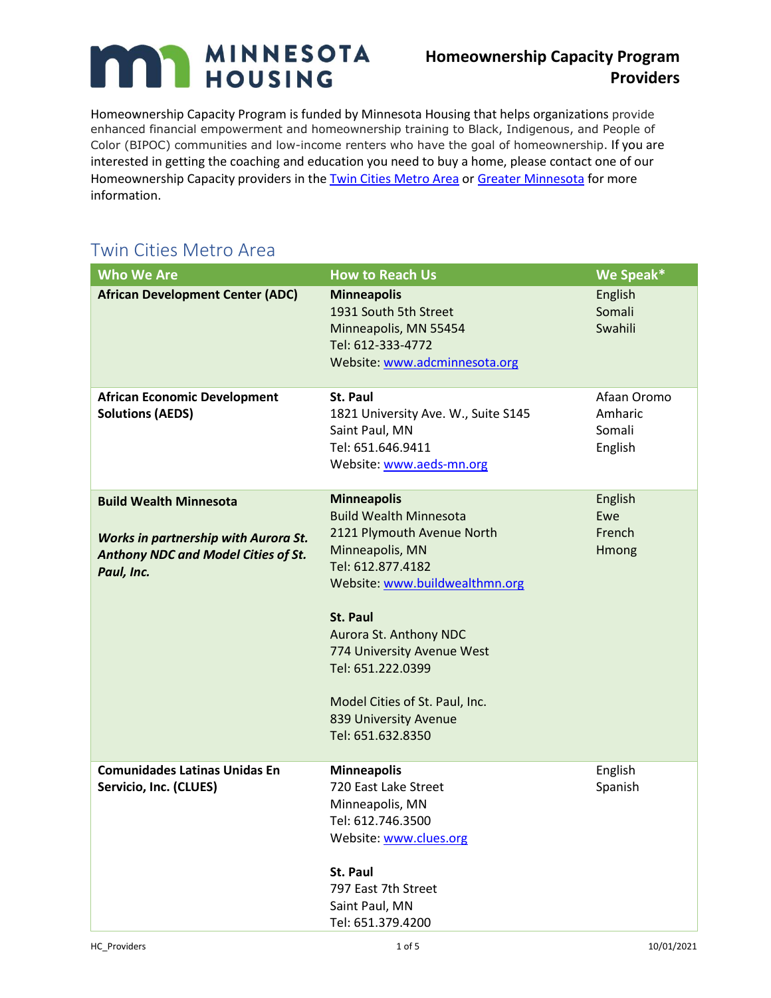## MINNESOTA n

## **Homeownership Capacity Program Providers**

Homeownership Capacity Program is funded by Minnesota Housing that helps organizations provide enhanced financial empowerment and homeownership training to Black, Indigenous, and People of Color (BIPOC) communities and low-income renters who have the goal of homeownership. If you are interested in getting the coaching and education you need to buy a home, please contact one of our Homeownership Capacity providers in the [Twin Cities Metro Area](#page-0-0) or [Greater Minnesota](#page-2-0) for more information.

## <span id="page-0-0"></span>Twin Cities Metro Area

| <b>Who We Are</b>                                                                                | <b>How to Reach Us</b>                                                                                                                                                                                                                                                               | We Speak*                                   |
|--------------------------------------------------------------------------------------------------|--------------------------------------------------------------------------------------------------------------------------------------------------------------------------------------------------------------------------------------------------------------------------------------|---------------------------------------------|
| <b>African Development Center (ADC)</b>                                                          | <b>Minneapolis</b><br>1931 South 5th Street<br>Minneapolis, MN 55454<br>Tel: 612-333-4772<br>Website: www.adcminnesota.org                                                                                                                                                           | English<br>Somali<br>Swahili                |
| <b>African Economic Development</b><br><b>Solutions (AEDS)</b>                                   | <b>St. Paul</b><br>1821 University Ave. W., Suite S145<br>Saint Paul, MN<br>Tel: 651.646.9411<br>Website: www.aeds-mn.org                                                                                                                                                            | Afaan Oromo<br>Amharic<br>Somali<br>English |
| <b>Build Wealth Minnesota</b>                                                                    | <b>Minneapolis</b><br><b>Build Wealth Minnesota</b>                                                                                                                                                                                                                                  | English<br>Ewe                              |
| <b>Works in partnership with Aurora St.</b><br>Anthony NDC and Model Cities of St.<br>Paul, Inc. | 2121 Plymouth Avenue North<br>Minneapolis, MN<br>Tel: 612.877.4182<br>Website: www.buildwealthmn.org<br><b>St. Paul</b><br>Aurora St. Anthony NDC<br>774 University Avenue West<br>Tel: 651.222.0399<br>Model Cities of St. Paul, Inc.<br>839 University Avenue<br>Tel: 651.632.8350 | French<br>Hmong                             |
| <b>Comunidades Latinas Unidas En</b><br>Servicio, Inc. (CLUES)                                   | <b>Minneapolis</b><br>720 East Lake Street<br>Minneapolis, MN<br>Tel: 612.746.3500<br>Website: www.clues.org<br>St. Paul<br>797 East 7th Street<br>Saint Paul, MN<br>Tel: 651.379.4200                                                                                               | English<br>Spanish                          |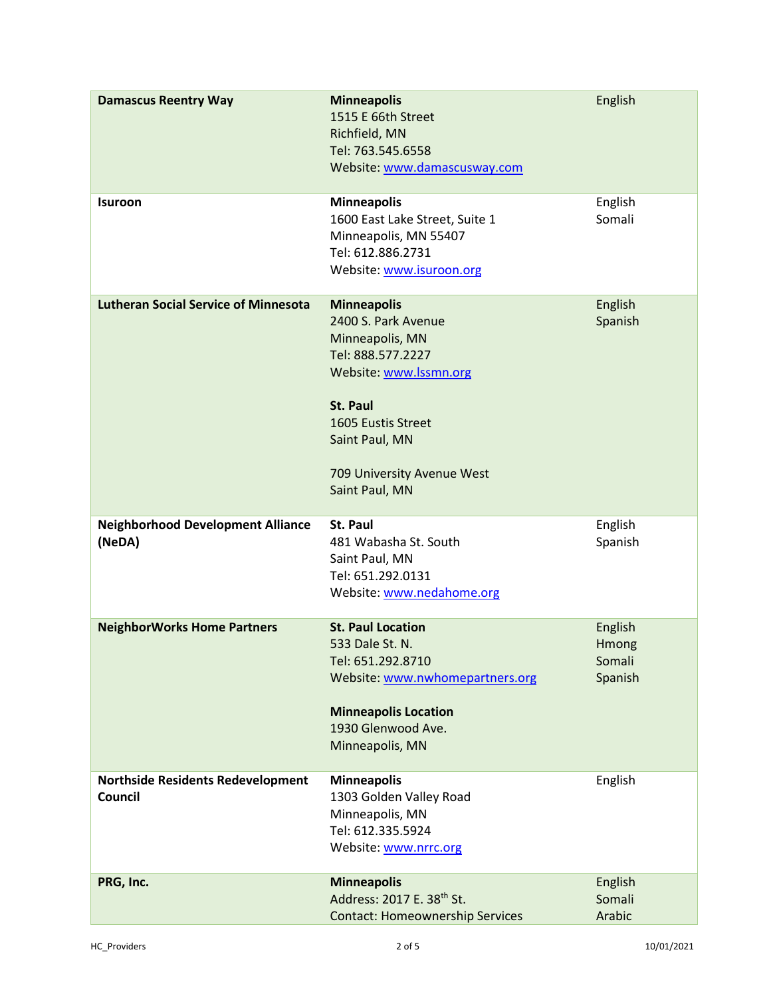| <b>Damascus Reentry Way</b>                         | <b>Minneapolis</b><br>1515 E 66th Street<br>Richfield, MN<br>Tel: 763.545.6558<br>Website: www.damascusway.com                                                                                                         | English                               |
|-----------------------------------------------------|------------------------------------------------------------------------------------------------------------------------------------------------------------------------------------------------------------------------|---------------------------------------|
| <b>Isuroon</b>                                      | <b>Minneapolis</b><br>1600 East Lake Street, Suite 1<br>Minneapolis, MN 55407<br>Tel: 612.886.2731<br>Website: www.isuroon.org                                                                                         | English<br>Somali                     |
| <b>Lutheran Social Service of Minnesota</b>         | <b>Minneapolis</b><br>2400 S. Park Avenue<br>Minneapolis, MN<br>Tel: 888.577.2227<br>Website: www.lssmn.org<br><b>St. Paul</b><br>1605 Eustis Street<br>Saint Paul, MN<br>709 University Avenue West<br>Saint Paul, MN | English<br>Spanish                    |
| <b>Neighborhood Development Alliance</b><br>(NeDA)  | St. Paul<br>481 Wabasha St. South<br>Saint Paul, MN<br>Tel: 651.292.0131<br>Website: www.nedahome.org                                                                                                                  | English<br>Spanish                    |
| <b>NeighborWorks Home Partners</b>                  | <b>St. Paul Location</b><br>533 Dale St. N.<br>Tel: 651.292.8710<br>Website: www.nwhomepartners.org<br><b>Minneapolis Location</b><br>1930 Glenwood Ave.<br>Minneapolis, MN                                            | English<br>Hmong<br>Somali<br>Spanish |
| <b>Northside Residents Redevelopment</b><br>Council | <b>Minneapolis</b><br>1303 Golden Valley Road<br>Minneapolis, MN<br>Tel: 612.335.5924<br>Website: www.nrrc.org                                                                                                         | English                               |
| PRG, Inc.                                           | <b>Minneapolis</b><br>Address: 2017 E. 38th St.<br><b>Contact: Homeownership Services</b>                                                                                                                              | English<br>Somali<br>Arabic           |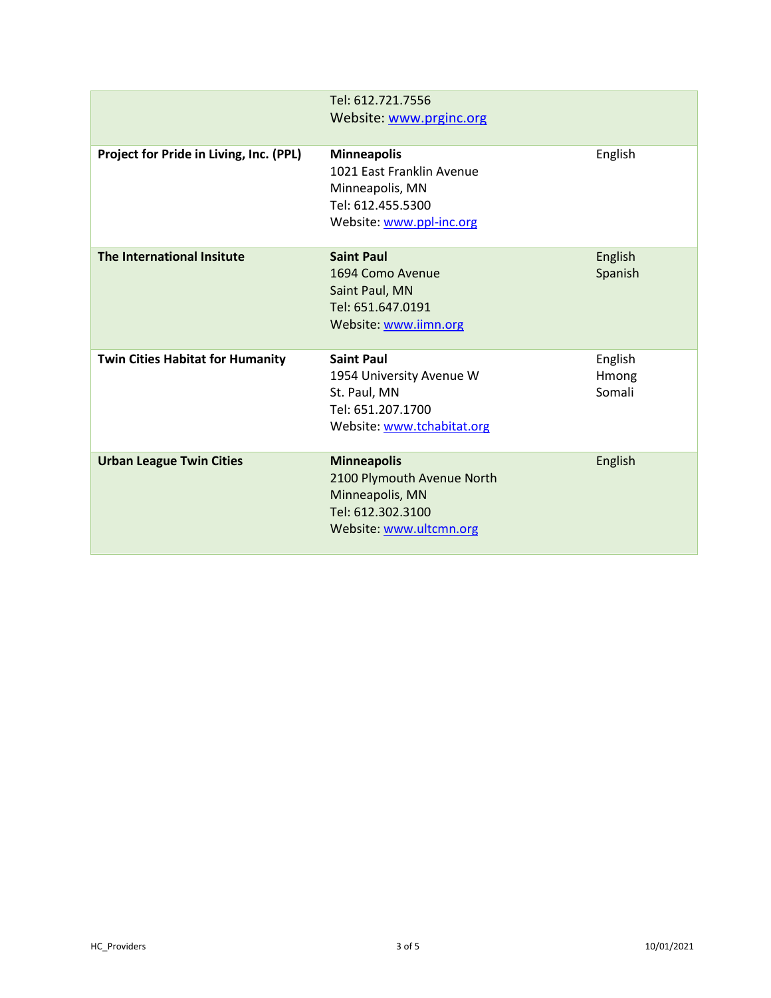<span id="page-2-0"></span>

|                                         | Tel: 612.721.7556<br>Website: www.prginc.org                                                                        |                            |
|-----------------------------------------|---------------------------------------------------------------------------------------------------------------------|----------------------------|
| Project for Pride in Living, Inc. (PPL) | <b>Minneapolis</b><br>1021 East Franklin Avenue<br>Minneapolis, MN<br>Tel: 612.455.5300<br>Website: www.ppl-inc.org | English                    |
| The International Insitute              | <b>Saint Paul</b><br>1694 Como Avenue<br>Saint Paul, MN<br>Tel: 651.647.0191<br>Website: www.iimn.org               | English<br>Spanish         |
| <b>Twin Cities Habitat for Humanity</b> | <b>Saint Paul</b><br>1954 University Avenue W<br>St. Paul, MN<br>Tel: 651.207.1700<br>Website: www.tchabitat.org    | English<br>Hmong<br>Somali |
| <b>Urban League Twin Cities</b>         | <b>Minneapolis</b><br>2100 Plymouth Avenue North<br>Minneapolis, MN<br>Tel: 612.302.3100<br>Website: www.ultcmn.org | English                    |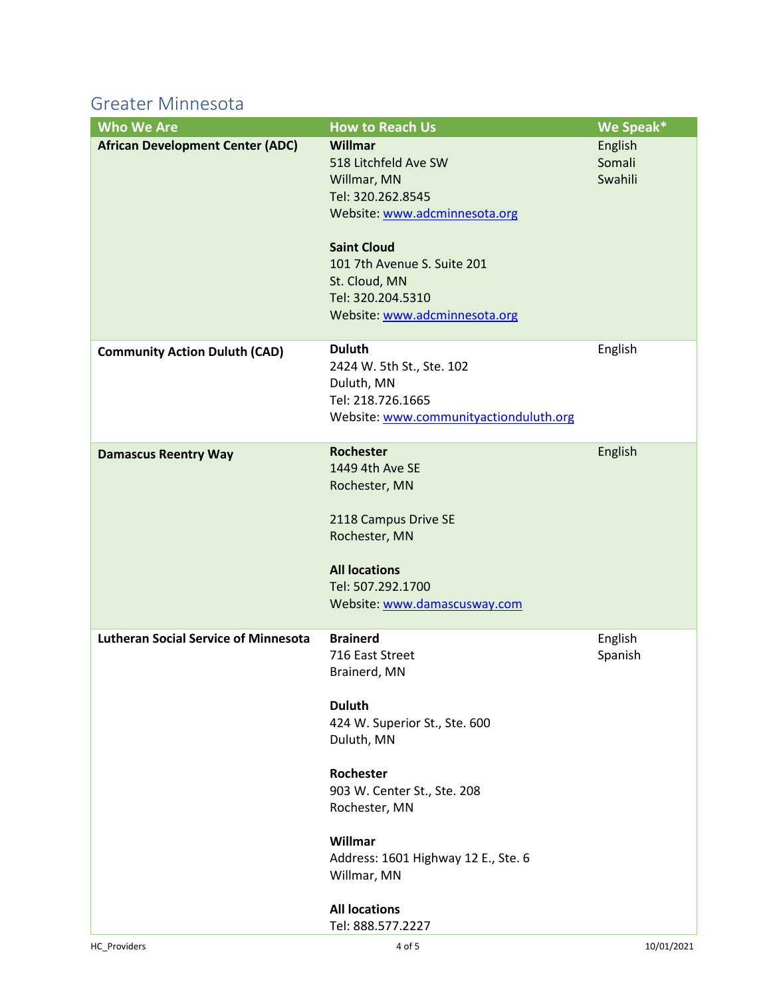Greater Minnesota

| <b>Who We Are</b>                           | <b>How to Reach Us</b>                 | We Speak* |
|---------------------------------------------|----------------------------------------|-----------|
| <b>African Development Center (ADC)</b>     | Willmar                                | English   |
|                                             | 518 Litchfeld Ave SW                   | Somali    |
|                                             | Willmar, MN                            | Swahili   |
|                                             | Tel: 320.262.8545                      |           |
|                                             | Website: www.adcminnesota.org          |           |
|                                             | <b>Saint Cloud</b>                     |           |
|                                             | 101 7th Avenue S. Suite 201            |           |
|                                             | St. Cloud, MN                          |           |
|                                             | Tel: 320.204.5310                      |           |
|                                             | Website: www.adcminnesota.org          |           |
|                                             |                                        |           |
| <b>Community Action Duluth (CAD)</b>        | <b>Duluth</b>                          | English   |
|                                             | 2424 W. 5th St., Ste. 102              |           |
|                                             | Duluth, MN                             |           |
|                                             | Tel: 218.726.1665                      |           |
|                                             | Website: www.communityactionduluth.org |           |
|                                             |                                        |           |
| <b>Damascus Reentry Way</b>                 | Rochester                              | English   |
|                                             | 1449 4th Ave SE                        |           |
|                                             | Rochester, MN                          |           |
|                                             |                                        |           |
|                                             | 2118 Campus Drive SE                   |           |
|                                             | Rochester, MN                          |           |
|                                             | <b>All locations</b>                   |           |
|                                             | Tel: 507.292.1700                      |           |
|                                             | Website: www.damascusway.com           |           |
|                                             |                                        |           |
| <b>Lutheran Social Service of Minnesota</b> | <b>Brainerd</b>                        | English   |
|                                             | 716 East Street                        | Spanish   |
|                                             | Brainerd, MN                           |           |
|                                             |                                        |           |
|                                             | <b>Duluth</b>                          |           |
|                                             | 424 W. Superior St., Ste. 600          |           |
|                                             | Duluth, MN                             |           |
|                                             | Rochester                              |           |
|                                             | 903 W. Center St., Ste. 208            |           |
|                                             | Rochester, MN                          |           |
|                                             |                                        |           |
|                                             | Willmar                                |           |
|                                             | Address: 1601 Highway 12 E., Ste. 6    |           |
|                                             | Willmar, MN                            |           |
|                                             |                                        |           |
|                                             | <b>All locations</b>                   |           |
|                                             | Tel: 888.577.2227                      |           |